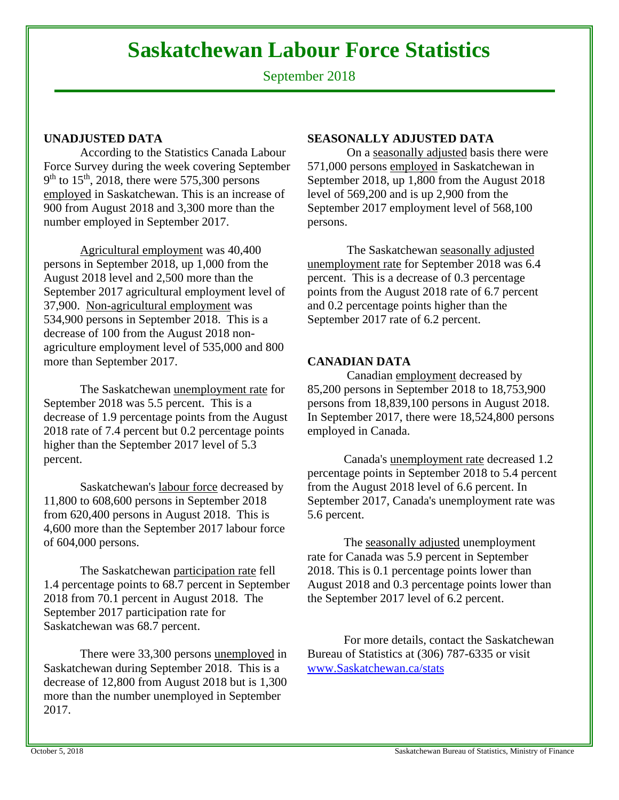# **Saskatchewan Labour Force Statistics**

September 2018

# **UNADJUSTED DATA**

According to the Statistics Canada Labour Force Survey during the week covering September  $9<sup>th</sup>$  to 15<sup>th</sup>, 2018, there were 575,300 persons employed in Saskatchewan. This is an increase of 900 from August 2018 and 3,300 more than the number employed in September 2017.

Agricultural employment was 40,400 persons in September 2018, up 1,000 from the August 2018 level and 2,500 more than the September 2017 agricultural employment level of 37,900. Non-agricultural employment was 534,900 persons in September 2018. This is a decrease of 100 from the August 2018 nonagriculture employment level of 535,000 and 800 more than September 2017.

The Saskatchewan unemployment rate for September 2018 was 5.5 percent. This is a decrease of 1.9 percentage points from the August 2018 rate of 7.4 percent but 0.2 percentage points higher than the September 2017 level of 5.3 percent.

Saskatchewan's labour force decreased by 11,800 to 608,600 persons in September 2018 from 620,400 persons in August 2018. This is 4,600 more than the September 2017 labour force of 604,000 persons.

The Saskatchewan participation rate fell 1.4 percentage points to 68.7 percent in September 2018 from 70.1 percent in August 2018. The September 2017 participation rate for Saskatchewan was 68.7 percent.

There were 33,300 persons unemployed in Saskatchewan during September 2018. This is a decrease of 12,800 from August 2018 but is 1,300 more than the number unemployed in September 2017.

## **SEASONALLY ADJUSTED DATA**

 On a seasonally adjusted basis there were 571,000 persons employed in Saskatchewan in September 2018, up 1,800 from the August 2018 level of 569,200 and is up 2,900 from the September 2017 employment level of 568,100 persons.

 The Saskatchewan seasonally adjusted unemployment rate for September 2018 was 6.4 percent. This is a decrease of 0.3 percentage points from the August 2018 rate of 6.7 percent and 0.2 percentage points higher than the September 2017 rate of 6.2 percent.

# **CANADIAN DATA**

 Canadian employment decreased by 85,200 persons in September 2018 to 18,753,900 persons from 18,839,100 persons in August 2018. In September 2017, there were 18,524,800 persons employed in Canada.

Canada's unemployment rate decreased 1.2 percentage points in September 2018 to 5.4 percent from the August 2018 level of 6.6 percent. In September 2017, Canada's unemployment rate was 5.6 percent.

The seasonally adjusted unemployment rate for Canada was 5.9 percent in September 2018. This is 0.1 percentage points lower than August 2018 and 0.3 percentage points lower than the September 2017 level of 6.2 percent.

 For more details, contact the Saskatchewan Bureau of Statistics at (306) 787-6335 or visit www.Saskatchewan.ca/stats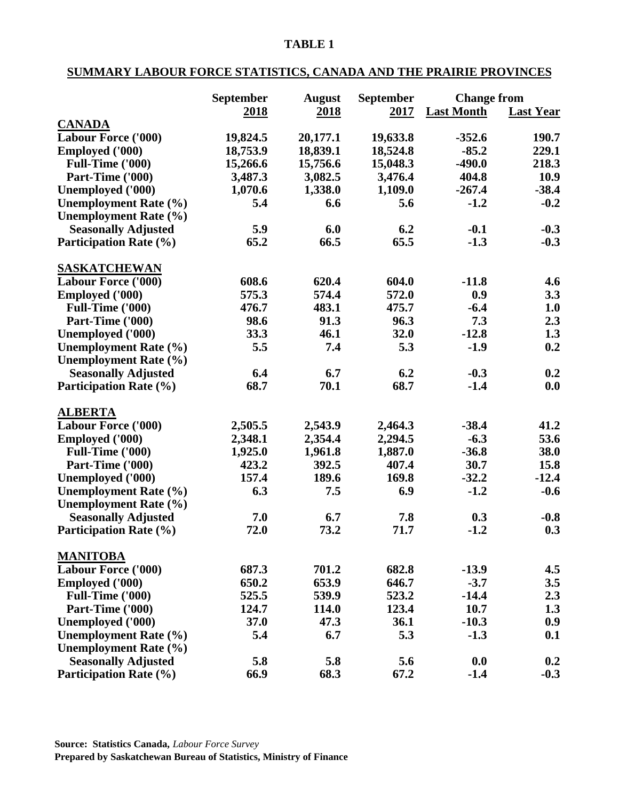# **SUMMARY LABOUR FORCE STATISTICS, CANADA AND THE PRAIRIE PROVINCES**

|                               | <b>September</b> | <b>August</b> | <b>September</b> | <b>Change from</b> |                  |
|-------------------------------|------------------|---------------|------------------|--------------------|------------------|
|                               | <u>2018</u>      | 2018          | 2017             | <b>Last Month</b>  | <b>Last Year</b> |
| <b>CANADA</b>                 |                  |               |                  |                    |                  |
| <b>Labour Force ('000)</b>    | 19,824.5         | 20,177.1      | 19,633.8         | $-352.6$           | 190.7            |
| <b>Employed ('000)</b>        | 18,753.9         | 18,839.1      | 18,524.8         | $-85.2$            | 229.1            |
| Full-Time ('000)              | 15,266.6         | 15,756.6      | 15,048.3         | $-490.0$           | 218.3            |
| Part-Time ('000)              | 3,487.3          | 3,082.5       | 3,476.4          | 404.8              | 10.9             |
| Unemployed ('000)             | 1,070.6          | 1,338.0       | 1,109.0          | $-267.4$           | $-38.4$          |
| <b>Unemployment Rate (%)</b>  | 5.4              | 6.6           | 5.6              | $-1.2$             | $-0.2$           |
| Unemployment Rate (%)         |                  |               |                  |                    |                  |
| <b>Seasonally Adjusted</b>    | 5.9              | 6.0           | 6.2              | $-0.1$             | $-0.3$           |
| <b>Participation Rate (%)</b> | 65.2             | 66.5          | 65.5             | $-1.3$             | $-0.3$           |
| <b>SASKATCHEWAN</b>           |                  |               |                  |                    |                  |
| <b>Labour Force ('000)</b>    | 608.6            | 620.4         | 604.0            | $-11.8$            | 4.6              |
| <b>Employed ('000)</b>        | 575.3            | 574.4         | 572.0            | 0.9                | 3.3              |
| Full-Time ('000)              | 476.7            | 483.1         | 475.7            | $-6.4$             | 1.0              |
| Part-Time ('000)              | 98.6             | 91.3          | 96.3             | 7.3                | 2.3              |
| Unemployed ('000)             | 33.3             | 46.1          | 32.0             | $-12.8$            | 1.3              |
| Unemployment Rate (%)         | 5.5              | 7.4           | 5.3              | $-1.9$             | 0.2              |
| <b>Unemployment Rate (%)</b>  |                  |               |                  |                    |                  |
| <b>Seasonally Adjusted</b>    | 6.4              | 6.7           | 6.2              | $-0.3$             | 0.2              |
| <b>Participation Rate (%)</b> | 68.7             | 70.1          | 68.7             | $-1.4$             | 0.0              |
|                               |                  |               |                  |                    |                  |
| <b>ALBERTA</b>                |                  |               |                  |                    |                  |
| <b>Labour Force ('000)</b>    | 2,505.5          | 2,543.9       | 2,464.3          | $-38.4$            | 41.2             |
| <b>Employed</b> ('000)        | 2,348.1          | 2,354.4       | 2,294.5          | $-6.3$             | 53.6             |
| Full-Time ('000)              | 1,925.0          | 1,961.8       | 1,887.0          | $-36.8$            | 38.0             |
| Part-Time ('000)              | 423.2            | 392.5         | 407.4            | 30.7               | 15.8             |
| Unemployed ('000)             | 157.4            | 189.6         | 169.8            | $-32.2$            | $-12.4$          |
| <b>Unemployment Rate (%)</b>  | 6.3              | 7.5           | 6.9              | $-1.2$             | $-0.6$           |
| <b>Unemployment Rate (%)</b>  |                  |               |                  |                    |                  |
| <b>Seasonally Adjusted</b>    | 7.0              | 6.7           | 7.8              | 0.3                | $-0.8$           |
| <b>Participation Rate (%)</b> | 72.0             | 73.2          | 71.7             | $-1.2$             | 0.3              |
| <b>MANITOBA</b>               |                  |               |                  |                    |                  |
| <b>Labour Force ('000)</b>    | 687.3            | 701.2         | 682.8            | $-13.9$            | 4.5              |
| <b>Employed ('000)</b>        | 650.2            | 653.9         | 646.7            | $-3.7$             | 3.5              |
| Full-Time ('000)              | 525.5            | 539.9         | 523.2            | $-14.4$            | 2.3              |
| Part-Time ('000)              | 124.7            | 114.0         | 123.4            | 10.7               | 1.3              |
| Unemployed ('000)             | 37.0             | 47.3          | 36.1             | $-10.3$            | 0.9              |
| <b>Unemployment Rate (%)</b>  | 5.4              | 6.7           | 5.3              | $-1.3$             | 0.1              |
| <b>Unemployment Rate (%)</b>  |                  |               |                  |                    |                  |
| <b>Seasonally Adjusted</b>    | 5.8              | 5.8           | 5.6              | 0.0                | 0.2              |
| <b>Participation Rate (%)</b> | 66.9             | 68.3          | 67.2             | $-1.4$             | $-0.3$           |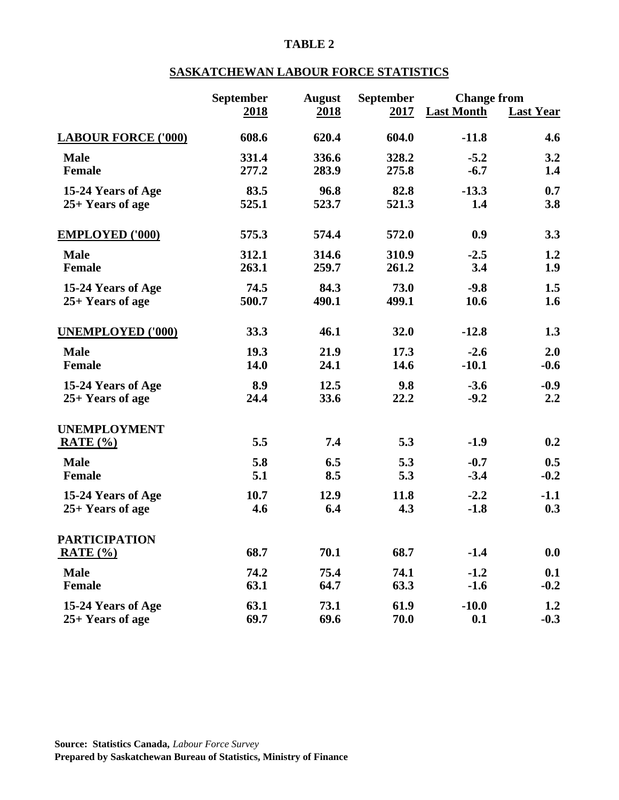# **SASKATCHEWAN LABOUR FORCE STATISTICS**

|                            | September   | <b>August</b> | September | <b>Change from</b> |                  |
|----------------------------|-------------|---------------|-----------|--------------------|------------------|
|                            | <b>2018</b> | <b>2018</b>   | 2017      | <b>Last Month</b>  | <b>Last Year</b> |
| <b>LABOUR FORCE ('000)</b> | 608.6       | 620.4         | 604.0     | $-11.8$            | 4.6              |
| <b>Male</b>                | 331.4       | 336.6         | 328.2     | $-5.2$             | 3.2              |
| Female                     | 277.2       | 283.9         | 275.8     | $-6.7$             | 1.4              |
| 15-24 Years of Age         | 83.5        | 96.8          | 82.8      | $-13.3$            | 0.7              |
| $25+$ Years of age         | 525.1       | 523.7         | 521.3     | 1.4                | 3.8              |
| <b>EMPLOYED ('000)</b>     | 575.3       | 574.4         | 572.0     | 0.9                | 3.3              |
| <b>Male</b>                | 312.1       | 314.6         | 310.9     | $-2.5$             | 1.2              |
| <b>Female</b>              | 263.1       | 259.7         | 261.2     | 3.4                | 1.9              |
| 15-24 Years of Age         | 74.5        | 84.3          | 73.0      | $-9.8$             | 1.5              |
| 25+ Years of age           | 500.7       | 490.1         | 499.1     | 10.6               | 1.6              |
| <b>UNEMPLOYED ('000)</b>   | 33.3        | 46.1          | 32.0      | $-12.8$            | 1.3              |
| <b>Male</b>                | 19.3        | 21.9          | 17.3      | $-2.6$             | 2.0              |
| <b>Female</b>              | 14.0        | 24.1          | 14.6      | $-10.1$            | $-0.6$           |
| 15-24 Years of Age         | 8.9         | 12.5          | 9.8       | $-3.6$             | $-0.9$           |
| $25+$ Years of age         | 24.4        | 33.6          | 22.2      | $-9.2$             | 2.2              |
| <b>UNEMPLOYMENT</b>        |             |               |           |                    |                  |
| RATE $(% )$                | 5.5         | 7.4           | 5.3       | $-1.9$             | 0.2              |
| <b>Male</b>                | 5.8         | 6.5           | 5.3       | $-0.7$             | 0.5              |
| <b>Female</b>              | 5.1         | 8.5           | 5.3       | $-3.4$             | $-0.2$           |
| 15-24 Years of Age         | 10.7        | 12.9          | 11.8      | $-2.2$             | $-1.1$           |
| 25+ Years of age           | 4.6         | 6.4           | 4.3       | $-1.8$             | 0.3              |
| <b>PARTICIPATION</b>       |             |               |           |                    |                  |
| RATE $(\% )$               | 68.7        | 70.1          | 68.7      | $-1.4$             | 0.0              |
| <b>Male</b>                | 74.2        | 75.4          | 74.1      | $-1.2$             | 0.1              |
| <b>Female</b>              | 63.1        | 64.7          | 63.3      | $-1.6$             | $-0.2$           |
| 15-24 Years of Age         | 63.1        | 73.1          | 61.9      | $-10.0$            | 1.2              |
| 25+ Years of age           | 69.7        | 69.6          | 70.0      | 0.1                | $-0.3$           |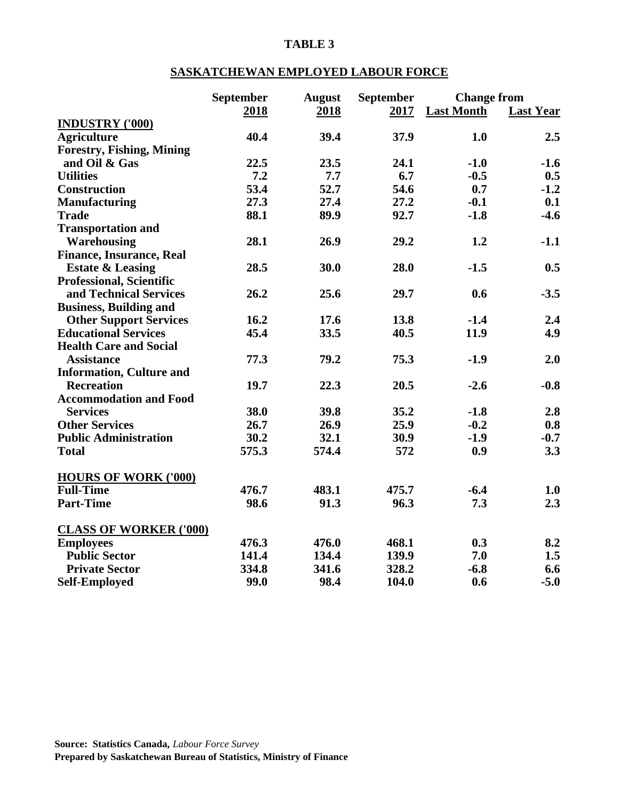## **SASKATCHEWAN EMPLOYED LABOUR FORCE**

|                                  | September | <b>August</b> | September | <b>Change from</b> |                  |
|----------------------------------|-----------|---------------|-----------|--------------------|------------------|
|                                  | 2018      | 2018          | 2017      | <b>Last Month</b>  | <b>Last Year</b> |
| <b>INDUSTRY ('000)</b>           |           |               |           |                    |                  |
| <b>Agriculture</b>               | 40.4      | 39.4          | 37.9      | 1.0                | 2.5              |
| <b>Forestry, Fishing, Mining</b> |           |               |           |                    |                  |
| and Oil & Gas                    | 22.5      | 23.5          | 24.1      | $-1.0$             | $-1.6$           |
| <b>Utilities</b>                 | 7.2       | 7.7           | 6.7       | $-0.5$             | 0.5              |
| <b>Construction</b>              | 53.4      | 52.7          | 54.6      | 0.7                | $-1.2$           |
| <b>Manufacturing</b>             | 27.3      | 27.4          | 27.2      | $-0.1$             | 0.1              |
| <b>Trade</b>                     | 88.1      | 89.9          | 92.7      | $-1.8$             | $-4.6$           |
| <b>Transportation and</b>        |           |               |           |                    |                  |
| Warehousing                      | 28.1      | 26.9          | 29.2      | 1.2                | $-1.1$           |
| <b>Finance, Insurance, Real</b>  |           |               |           |                    |                  |
| <b>Estate &amp; Leasing</b>      | 28.5      | 30.0          | 28.0      | $-1.5$             | 0.5              |
| <b>Professional, Scientific</b>  |           |               |           |                    |                  |
| and Technical Services           | 26.2      | 25.6          | 29.7      | 0.6                | $-3.5$           |
| <b>Business, Building and</b>    |           |               |           |                    |                  |
| <b>Other Support Services</b>    | 16.2      | 17.6          | 13.8      | $-1.4$             | 2.4              |
| <b>Educational Services</b>      | 45.4      | 33.5          | 40.5      | 11.9               | 4.9              |
| <b>Health Care and Social</b>    |           |               |           |                    |                  |
| <b>Assistance</b>                | 77.3      | 79.2          | 75.3      | $-1.9$             | 2.0              |
| <b>Information, Culture and</b>  |           |               |           |                    |                  |
| <b>Recreation</b>                | 19.7      | 22.3          | 20.5      | $-2.6$             | $-0.8$           |
| <b>Accommodation and Food</b>    |           |               |           |                    |                  |
| <b>Services</b>                  | 38.0      | 39.8          | 35.2      | $-1.8$             | 2.8              |
| <b>Other Services</b>            | 26.7      | 26.9          | 25.9      | $-0.2$             | 0.8              |
| <b>Public Administration</b>     | 30.2      | 32.1          | 30.9      | $-1.9$             | $-0.7$           |
| <b>Total</b>                     | 575.3     | 574.4         | 572       | 0.9                | 3.3              |
|                                  |           |               |           |                    |                  |
| <b>HOURS OF WORK ('000)</b>      |           |               |           |                    |                  |
| <b>Full-Time</b>                 | 476.7     | 483.1         | 475.7     | $-6.4$             | 1.0              |
| <b>Part-Time</b>                 | 98.6      | 91.3          | 96.3      | 7.3                | 2.3              |
| <b>CLASS OF WORKER ('000)</b>    |           |               |           |                    |                  |
| <b>Employees</b>                 | 476.3     | 476.0         | 468.1     | 0.3                | 8.2              |
| <b>Public Sector</b>             | 141.4     | 134.4         | 139.9     | 7.0                | 1.5              |
| <b>Private Sector</b>            | 334.8     | 341.6         | 328.2     | $-6.8$             | 6.6              |
| <b>Self-Employed</b>             | 99.0      | 98.4          | 104.0     | 0.6                | $-5.0$           |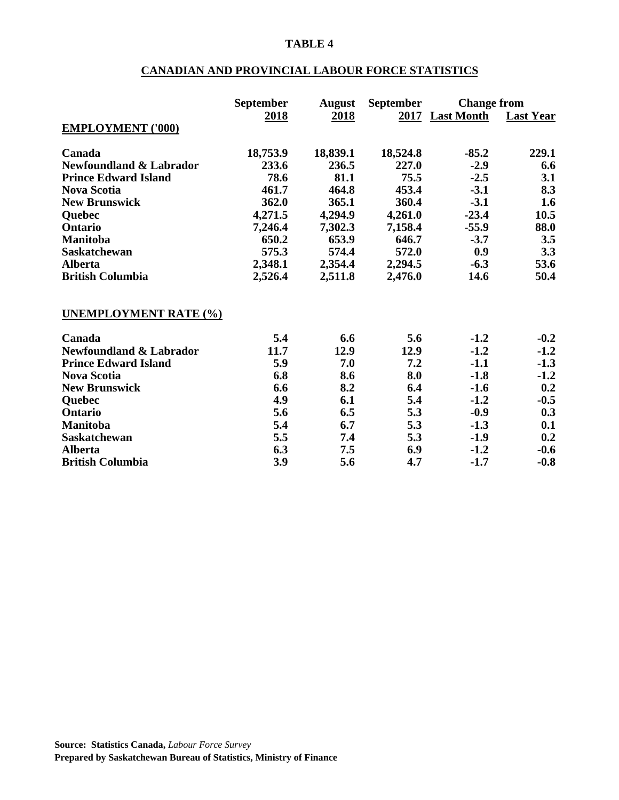## **CANADIAN AND PROVINCIAL LABOUR FORCE STATISTICS**

|                                    | <b>September</b> | <b>August</b> | <b>September</b> | <b>Change from</b> |                  |
|------------------------------------|------------------|---------------|------------------|--------------------|------------------|
|                                    | 2018             | <u>2018</u>   |                  | 2017 Last Month    | <b>Last Year</b> |
| <b>EMPLOYMENT ('000)</b>           |                  |               |                  |                    |                  |
| Canada                             | 18,753.9         | 18,839.1      | 18,524.8         | $-85.2$            | 229.1            |
| <b>Newfoundland &amp; Labrador</b> | 233.6            | 236.5         | 227.0            | $-2.9$             | 6.6              |
| <b>Prince Edward Island</b>        | 78.6             | 81.1          | 75.5             | $-2.5$             | 3.1              |
| <b>Nova Scotia</b>                 | 461.7            | 464.8         | 453.4            | $-3.1$             | 8.3              |
| <b>New Brunswick</b>               | 362.0            | 365.1         | 360.4            | $-3.1$             | 1.6              |
| Quebec                             | 4,271.5          | 4,294.9       | 4,261.0          | $-23.4$            | 10.5             |
| <b>Ontario</b>                     | 7,246.4          | 7,302.3       | 7,158.4          | $-55.9$            | 88.0             |
| <b>Manitoba</b>                    | 650.2            | 653.9         | 646.7            | $-3.7$             | 3.5              |
| <b>Saskatchewan</b>                | 575.3            | 574.4         | 572.0            | 0.9                | 3.3              |
| <b>Alberta</b>                     | 2,348.1          | 2,354.4       | 2,294.5          | $-6.3$             | 53.6             |
| <b>British Columbia</b>            | 2,526.4          | 2,511.8       | 2,476.0          | 14.6               | 50.4             |
| <b>UNEMPLOYMENT RATE (%)</b>       |                  |               |                  |                    |                  |
| Canada                             | 5.4              | 6.6           | 5.6              | $-1.2$             | $-0.2$           |
| <b>Newfoundland &amp; Labrador</b> | 11.7             | 12.9          | 12.9             | $-1.2$             | $-1.2$           |
| <b>Prince Edward Island</b>        | 5.9              | 7.0           | 7.2              | $-1.1$             | $-1.3$           |
| <b>Nova Scotia</b>                 | 6.8              | 8.6           | 8.0              | $-1.8$             | $-1.2$           |
| <b>New Brunswick</b>               | 6.6              | 8.2           | 6.4              | $-1.6$             | 0.2              |
| Quebec                             | 4.9              | 6.1           | 5.4              | $-1.2$             | $-0.5$           |
| <b>Ontario</b>                     | 5.6              | 6.5           | 5.3              | $-0.9$             | 0.3              |
| <b>Manitoba</b>                    | 5.4              | 6.7           | 5.3              | $-1.3$             | 0.1              |
| <b>Saskatchewan</b>                | 5.5              | 7.4           | 5.3              | $-1.9$             | 0.2              |
| <b>Alberta</b>                     | 6.3              | 7.5           | 6.9              | $-1.2$             | $-0.6$           |
| <b>British Columbia</b>            | 3.9              | 5.6           | 4.7              | $-1.7$             | $-0.8$           |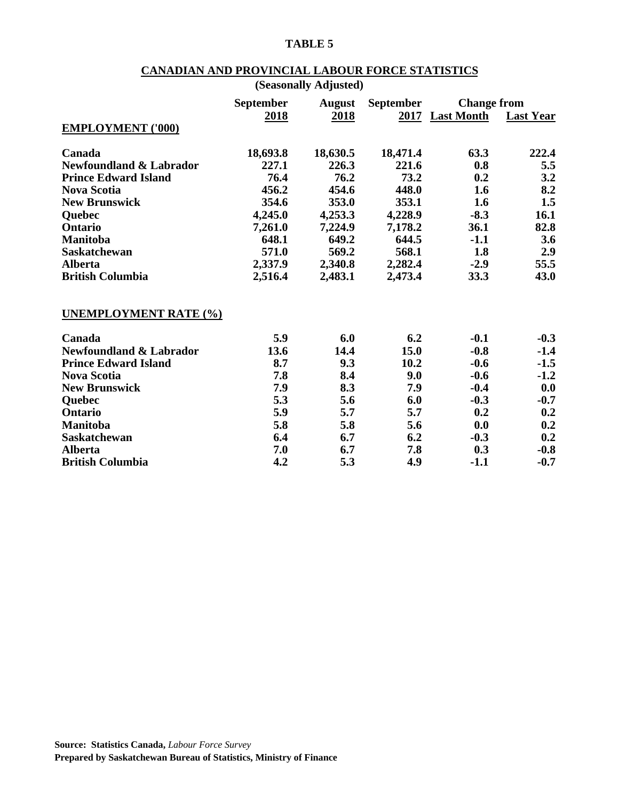## **CANADIAN AND PROVINCIAL LABOUR FORCE STATISTICS**

|                                    |                  | (Seasonally Adjusted) |                  |                    |                  |
|------------------------------------|------------------|-----------------------|------------------|--------------------|------------------|
|                                    | <b>September</b> | <b>August</b>         | <b>September</b> | <b>Change from</b> |                  |
|                                    | 2018             | 2018                  |                  | 2017 Last Month    | <b>Last Year</b> |
| <b>EMPLOYMENT ('000)</b>           |                  |                       |                  |                    |                  |
| Canada                             | 18,693.8         | 18,630.5              | 18,471.4         | 63.3               | 222.4            |
| <b>Newfoundland &amp; Labrador</b> | 227.1            | 226.3                 | 221.6            | 0.8                | 5.5              |
| <b>Prince Edward Island</b>        | 76.4             | 76.2                  | 73.2             | 0.2                | 3.2              |
| <b>Nova Scotia</b>                 | 456.2            | 454.6                 | 448.0            | 1.6                | 8.2              |
| <b>New Brunswick</b>               | 354.6            | 353.0                 | 353.1            | 1.6                | 1.5              |
| Quebec                             | 4,245.0          | 4,253.3               | 4,228.9          | $-8.3$             | 16.1             |
| Ontario                            | 7,261.0          | 7,224.9               | 7,178.2          | 36.1               | 82.8             |
| <b>Manitoba</b>                    | 648.1            | 649.2                 | 644.5            | $-1.1$             | 3.6              |
| <b>Saskatchewan</b>                | 571.0            | 569.2                 | 568.1            | 1.8                | 2.9              |
| <b>Alberta</b>                     | 2,337.9          | 2,340.8               | 2,282.4          | $-2.9$             | 55.5             |
| <b>British Columbia</b>            | 2,516.4          | 2,483.1               | 2,473.4          | 33.3               | 43.0             |
| <b>UNEMPLOYMENT RATE (%)</b>       |                  |                       |                  |                    |                  |
| Canada                             | 5.9              | 6.0                   | 6.2              | $-0.1$             | $-0.3$           |
| <b>Newfoundland &amp; Labrador</b> | 13.6             | 14.4                  | 15.0             | $-0.8$             | $-1.4$           |
| <b>Prince Edward Island</b>        | 8.7              | 9.3                   | 10.2             | $-0.6$             | $-1.5$           |
| <b>Nova Scotia</b>                 | 7.8              | 8.4                   | 9.0              | $-0.6$             | $-1.2$           |
| <b>New Brunswick</b>               | 7.9              | 8.3                   | 7.9              | $-0.4$             | 0.0              |
| <b>Ouebec</b>                      | 5.3              | 5.6                   | 6.0              | $-0.3$             | $-0.7$           |
| <b>Ontario</b>                     | 5.9              | 5.7                   | 5.7              | 0.2                | 0.2              |
| <b>Manitoba</b>                    | 5.8              | 5.8                   | 5.6              | 0.0                | 0.2              |
| <b>Saskatchewan</b>                | 6.4              | 6.7                   | 6.2              | $-0.3$             | 0.2              |
| <b>Alberta</b>                     | 7.0              | 6.7                   | 7.8              | 0.3                | $-0.8$           |
| <b>British Columbia</b>            | 4.2              | 5.3                   | 4.9              | $-1.1$             | $-0.7$           |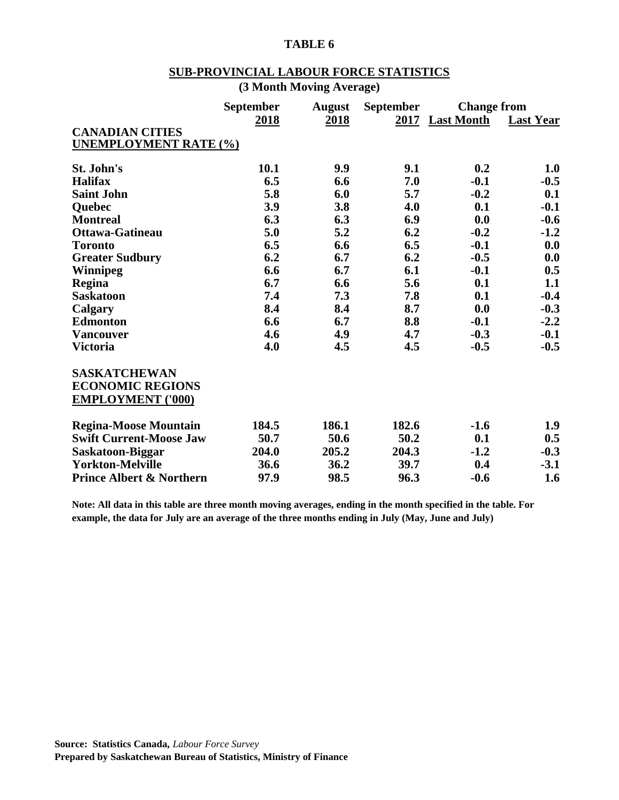# **SUB-PROVINCIAL LABOUR FORCE STATISTICS**

| (3 Month Moving Average) |  |  |  |  |
|--------------------------|--|--|--|--|
|--------------------------|--|--|--|--|

| <b>CANADIAN CITIES</b><br><b>UNEMPLOYMENT RATE (%)</b>                     | <b>September</b><br>2018 | <b>August</b><br>2018 | <b>September</b> | <b>Change from</b><br>2017 Last Month | <b>Last Year</b> |
|----------------------------------------------------------------------------|--------------------------|-----------------------|------------------|---------------------------------------|------------------|
| St. John's                                                                 | 10.1                     | 9.9                   | 9.1              | 0.2                                   | 1.0              |
| <b>Halifax</b>                                                             | 6.5                      | 6.6                   | 7.0              | $-0.1$                                | $-0.5$           |
| <b>Saint John</b>                                                          | 5.8                      | 6.0                   | 5.7              | $-0.2$                                | 0.1              |
| <b>Ouebec</b>                                                              | 3.9                      | 3.8                   | 4.0              | 0.1                                   | $-0.1$           |
| <b>Montreal</b>                                                            | 6.3                      | 6.3                   | 6.9              | 0.0                                   | $-0.6$           |
| <b>Ottawa-Gatineau</b>                                                     | 5.0                      | 5.2                   | 6.2              | $-0.2$                                | $-1.2$           |
| <b>Toronto</b>                                                             | 6.5                      | 6.6                   | 6.5              | $-0.1$                                | 0.0              |
| <b>Greater Sudbury</b>                                                     | 6.2                      | 6.7                   | 6.2              | $-0.5$                                | 0.0              |
| <b>Winnipeg</b>                                                            | 6.6                      | 6.7                   | 6.1              | $-0.1$                                | 0.5              |
| Regina                                                                     | 6.7                      | 6.6                   | 5.6              | 0.1                                   | 1.1              |
| <b>Saskatoon</b>                                                           | 7.4                      | 7.3                   | 7.8              | 0.1                                   | $-0.4$           |
| Calgary                                                                    | 8.4                      | 8.4                   | 8.7              | 0.0                                   | $-0.3$           |
| <b>Edmonton</b>                                                            | 6.6                      | 6.7                   | 8.8              | $-0.1$                                | $-2.2$           |
| <b>Vancouver</b>                                                           | 4.6                      | 4.9                   | 4.7              | $-0.3$                                | $-0.1$           |
| <b>Victoria</b>                                                            | 4.0                      | 4.5                   | 4.5              | $-0.5$                                | $-0.5$           |
| <b>SASKATCHEWAN</b><br><b>ECONOMIC REGIONS</b><br><b>EMPLOYMENT ('000)</b> |                          |                       |                  |                                       |                  |
| <b>Regina-Moose Mountain</b>                                               | 184.5                    | 186.1                 | 182.6            | $-1.6$                                | 1.9              |
| <b>Swift Current-Moose Jaw</b>                                             | 50.7                     | 50.6                  | 50.2             | 0.1                                   | 0.5              |
| Saskatoon-Biggar                                                           | 204.0                    | 205.2                 | 204.3            | $-1.2$                                | $-0.3$           |
| <b>Yorkton-Melville</b>                                                    | 36.6                     | 36.2                  | 39.7             | 0.4                                   | $-3.1$           |
| <b>Prince Albert &amp; Northern</b>                                        | 97.9                     | 98.5                  | 96.3             | $-0.6$                                | 1.6              |

**Note: All data in this table are three month moving averages, ending in the month specified in the table. For example, the data for July are an average of the three months ending in July (May, June and July)**